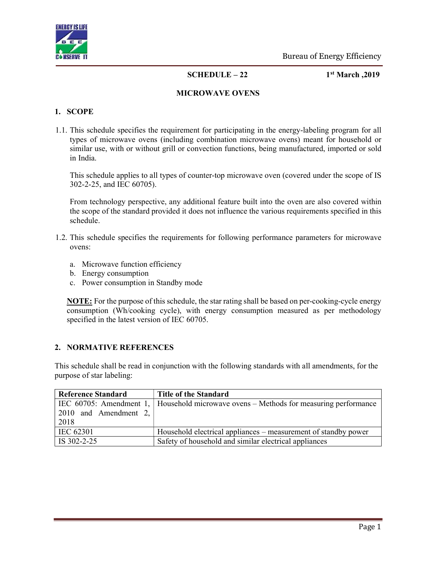

 $SCHEDULE - 22$  1st March, 2019

#### MICROWAVE OVENS

#### 1. SCOPE

1.1. This schedule specifies the requirement for participating in the energy-labeling program for all types of microwave ovens (including combination microwave ovens) meant for household or similar use, with or without grill or convection functions, being manufactured, imported or sold in India.

This schedule applies to all types of counter-top microwave oven (covered under the scope of IS 302-2-25, and IEC 60705).

From technology perspective, any additional feature built into the oven are also covered within the scope of the standard provided it does not influence the various requirements specified in this schedule.

- 1.2. This schedule specifies the requirements for following performance parameters for microwave ovens:
	- a. Microwave function efficiency
	- b. Energy consumption
	- c. Power consumption in Standby mode

**NOTE:** For the purpose of this schedule, the star rating shall be based on per-cooking-cycle energy consumption (Wh/cooking cycle), with energy consumption measured as per methodology specified in the latest version of IEC 60705.

# 2. NORMATIVE REFERENCES

This schedule shall be read in conjunction with the following standards with all amendments, for the purpose of star labeling:

| <b>Reference Standard</b> | <b>Title of the Standard</b>                                                              |
|---------------------------|-------------------------------------------------------------------------------------------|
|                           | IEC 60705: Amendment 1,   Household microwave ovens $-$ Methods for measuring performance |
| 2010 and Amendment 2,     |                                                                                           |
| 2018                      |                                                                                           |
| IEC 62301                 | Household electrical appliances – measurement of standby power                            |
| IS 302-2-25               | Safety of household and similar electrical appliances                                     |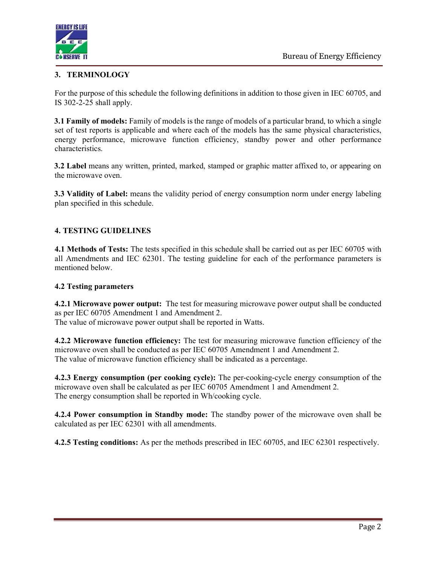

# 3. TERMINOLOGY

For the purpose of this schedule the following definitions in addition to those given in IEC 60705, and IS 302-2-25 shall apply.

3.1 Family of models: Family of models is the range of models of a particular brand, to which a single set of test reports is applicable and where each of the models has the same physical characteristics, energy performance, microwave function efficiency, standby power and other performance characteristics.

3.2 Label means any written, printed, marked, stamped or graphic matter affixed to, or appearing on the microwave oven.

3.3 Validity of Label: means the validity period of energy consumption norm under energy labeling plan specified in this schedule.

# 4. TESTING GUIDELINES

4.1 Methods of Tests: The tests specified in this schedule shall be carried out as per IEC 60705 with all Amendments and IEC 62301. The testing guideline for each of the performance parameters is mentioned below.

#### 4.2 Testing parameters

4.2.1 Microwave power output: The test for measuring microwave power output shall be conducted as per IEC 60705 Amendment 1 and Amendment 2. The value of microwave power output shall be reported in Watts.

4.2.2 Microwave function efficiency: The test for measuring microwave function efficiency of the microwave oven shall be conducted as per IEC 60705 Amendment 1 and Amendment 2. The value of microwave function efficiency shall be indicated as a percentage.

4.2.3 Energy consumption (per cooking cycle): The per-cooking-cycle energy consumption of the microwave oven shall be calculated as per IEC 60705 Amendment 1 and Amendment 2. The energy consumption shall be reported in Wh/cooking cycle.

4.2.4 Power consumption in Standby mode: The standby power of the microwave oven shall be calculated as per IEC 62301 with all amendments.

4.2.5 Testing conditions: As per the methods prescribed in IEC 60705, and IEC 62301 respectively.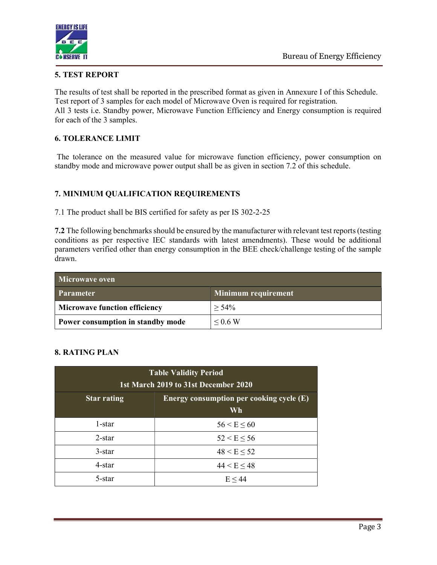

# 5. TEST REPORT

The results of test shall be reported in the prescribed format as given in Annexure I of this Schedule. Test report of 3 samples for each model of Microwave Oven is required for registration.

All 3 tests i.e. Standby power, Microwave Function Efficiency and Energy consumption is required for each of the 3 samples.

# 6. TOLERANCE LIMIT

 The tolerance on the measured value for microwave function efficiency, power consumption on standby mode and microwave power output shall be as given in section 7.2 of this schedule.

# 7. MINIMUM QUALIFICATION REQUIREMENTS

7.1 The product shall be BIS certified for safety as per IS 302-2-25

7.2 The following benchmarks should be ensured by the manufacturer with relevant test reports (testing conditions as per respective IEC standards with latest amendments). These would be additional parameters verified other than energy consumption in the BEE check/challenge testing of the sample drawn.

| Microwaye oven                       |                            |  |  |
|--------------------------------------|----------------------------|--|--|
| <b>Parameter</b>                     | <b>Minimum requirement</b> |  |  |
| <b>Microwave function efficiency</b> | $> 54\%$                   |  |  |
| Power consumption in standby mode    | $\leq 0.6$ W               |  |  |

# 8. RATING PLAN

| <b>Table Validity Period</b><br>1st March 2019 to 31st December 2020 |                 |  |
|----------------------------------------------------------------------|-----------------|--|
| Energy consumption per cooking cycle (E)<br><b>Star rating</b><br>Wh |                 |  |
| 1-star                                                               | $56 < E \le 60$ |  |
| $2$ -star                                                            | $52 < E \le 56$ |  |
| $3$ -star                                                            | $48 < E \le 52$ |  |
| $4$ -star                                                            | $44 < E \le 48$ |  |
| 5-star                                                               | E < 44          |  |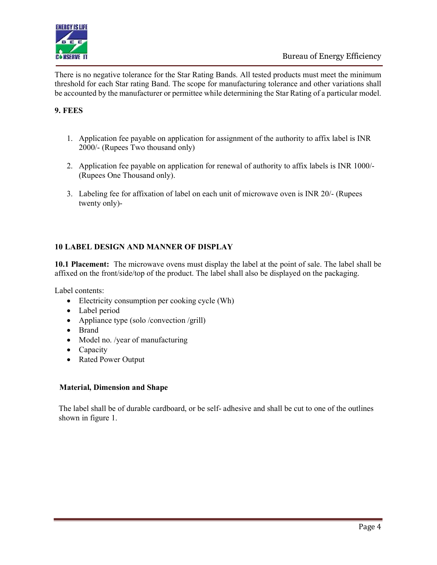

There is no negative tolerance for the Star Rating Bands. All tested products must meet the minimum threshold for each Star rating Band. The scope for manufacturing tolerance and other variations shall be accounted by the manufacturer or permittee while determining the Star Rating of a particular model.

# 9. FEES

- 1. Application fee payable on application for assignment of the authority to affix label is INR 2000/- (Rupees Two thousand only)
- 2. Application fee payable on application for renewal of authority to affix labels is INR 1000/- (Rupees One Thousand only).
- 3. Labeling fee for affixation of label on each unit of microwave oven is INR 20/- (Rupees twenty only)-

# 10 LABEL DESIGN AND MANNER OF DISPLAY

10.1 Placement: The microwave ovens must display the label at the point of sale. The label shall be affixed on the front/side/top of the product. The label shall also be displayed on the packaging.

Label contents:

- Electricity consumption per cooking cycle (Wh)
- Label period
- Appliance type (solo /convection /grill)
- Brand
- Model no. /year of manufacturing
- Capacity
- Rated Power Output

# Material, Dimension and Shape

The label shall be of durable cardboard, or be self- adhesive and shall be cut to one of the outlines shown in figure 1.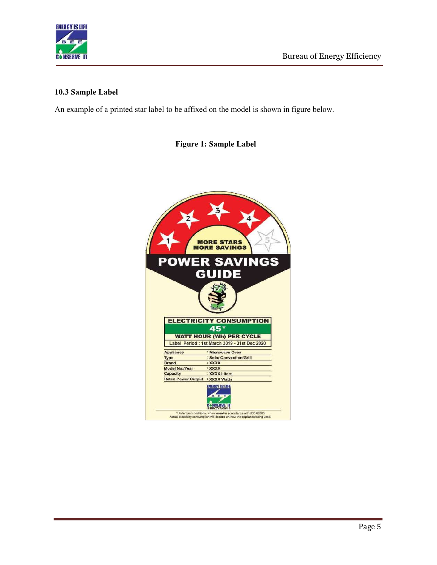

#### 10.3 Sample Label

An example of a printed star label to be affixed on the model is shown in figure below.

Figure 1: Sample Label

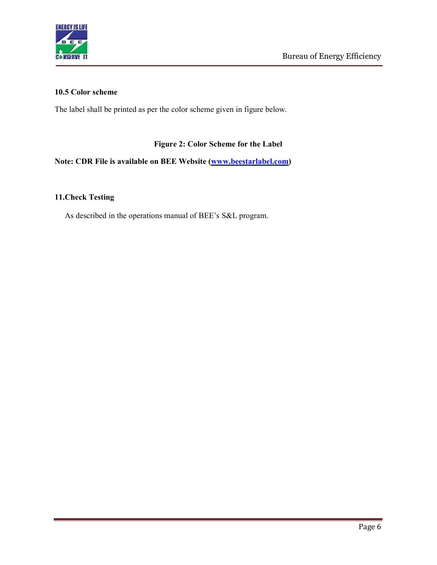

#### 10.5 Color scheme

The label shall be printed as per the color scheme given in figure below.

# Figure 2: Color Scheme for the Label

# Note: CDR File is available on BEE Website (www.beestarlabel.com)

# 11.Check Testing

As described in the operations manual of BEE's S&L program.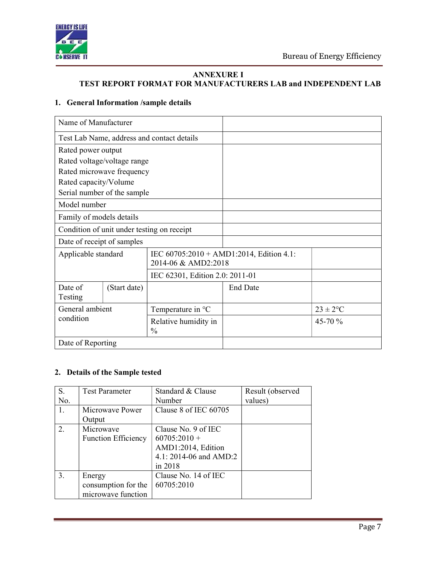

# ANNEXURE I

# TEST REPORT FORMAT FOR MANUFACTURERS LAB and INDEPENDENT LAB

#### 1. General Information /sample details

| Name of Manufacturer        |              |                                            |                                             |               |
|-----------------------------|--------------|--------------------------------------------|---------------------------------------------|---------------|
|                             |              | Test Lab Name, address and contact details |                                             |               |
| Rated power output          |              |                                            |                                             |               |
| Rated voltage/voltage range |              |                                            |                                             |               |
| Rated microwave frequency   |              |                                            |                                             |               |
| Rated capacity/Volume       |              |                                            |                                             |               |
| Serial number of the sample |              |                                            |                                             |               |
| Model number                |              |                                            |                                             |               |
| Family of models details    |              |                                            |                                             |               |
|                             |              | Condition of unit under testing on receipt |                                             |               |
| Date of receipt of samples  |              |                                            |                                             |               |
| Applicable standard         |              | 2014-06 & AMD2:2018                        | IEC $60705:2010 + AMD1:2014$ , Edition 4.1: |               |
|                             |              | IEC 62301, Edition 2.0: 2011-01            |                                             |               |
| Date of<br>Testing          | (Start date) |                                            | <b>End Date</b>                             |               |
| General ambient             |              | Temperature in $^{\circ}C$                 |                                             | $23 \pm 2$ °C |
| condition                   |              | Relative humidity in<br>$\frac{0}{0}$      |                                             | 45-70 %       |
| Date of Reporting           |              |                                            |                                             |               |

#### 2. Details of the Sample tested

| S.  | <b>Test Parameter</b>      | Standard & Clause      | Result (observed |
|-----|----------------------------|------------------------|------------------|
| No. |                            | Number                 | values)          |
| 1.  | Microwaye Power            | Clause 8 of IEC 60705  |                  |
|     | Output                     |                        |                  |
| 2.  | Microwave                  | Clause No. 9 of IEC    |                  |
|     | <b>Function Efficiency</b> | $60705:2010 +$         |                  |
|     |                            | AMD1:2014, Edition     |                  |
|     |                            | 4.1: 2014-06 and AMD:2 |                  |
|     |                            | in 2018                |                  |
| 3.  | Energy                     | Clause No. 14 of IEC   |                  |
|     | consumption for the        | 60705:2010             |                  |
|     | microwave function         |                        |                  |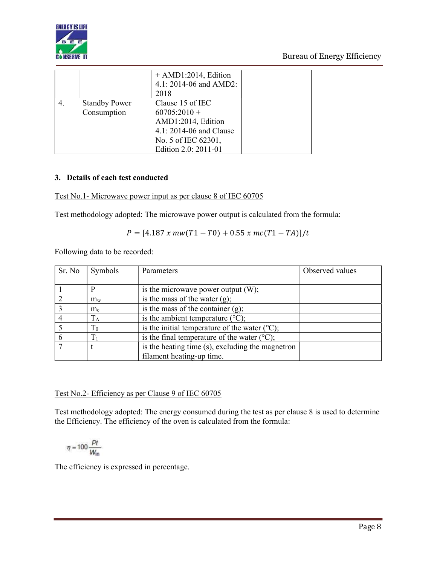

|    |                                     | $+AMD1:2014$ , Edition<br>4.1: 2014-06 and AMD2:<br>2018                                                                           |  |
|----|-------------------------------------|------------------------------------------------------------------------------------------------------------------------------------|--|
| 4. | <b>Standby Power</b><br>Consumption | Clause 15 of IEC<br>$60705:2010 +$<br>AMD1:2014, Edition<br>4.1: 2014-06 and Clause<br>No. 5 of IEC 62301,<br>Edition 2.0: 2011-01 |  |

# 3. Details of each test conducted

# Test No.1- Microwave power input as per clause 8 of IEC 60705

Test methodology adopted: The microwave power output is calculated from the formula:

$$
P = [4.187 \; x \; mw(T1 - T0) + 0.55 \; x \; mc(T1 - TA)]/t
$$

Following data to be recorded:

| Sr. No | Symbols     | Parameters                                              | Observed values |
|--------|-------------|---------------------------------------------------------|-----------------|
|        |             |                                                         |                 |
|        |             | is the microwave power output $(W)$ ;                   |                 |
|        | $m_{\rm w}$ | is the mass of the water $(g)$ ;                        |                 |
|        | $m_c$       | is the mass of the container $(g)$ ;                    |                 |
|        | $T_A$       | is the ambient temperature $(^{\circ}C)$ ;              |                 |
|        | $\rm T_{0}$ | is the initial temperature of the water $(°C)$ ;        |                 |
|        | $T_1$       | is the final temperature of the water $({}^{\circ}C)$ ; |                 |
|        |             | is the heating time (s), excluding the magnetron        |                 |
|        |             | filament heating-up time.                               |                 |

# Test No.2- Efficiency as per Clause 9 of IEC 60705

Test methodology adopted: The energy consumed during the test as per clause 8 is used to determine the Efficiency. The efficiency of the oven is calculated from the formula:

$$
\eta = 100 \frac{Pt}{W_{\text{in}}}
$$

The efficiency is expressed in percentage.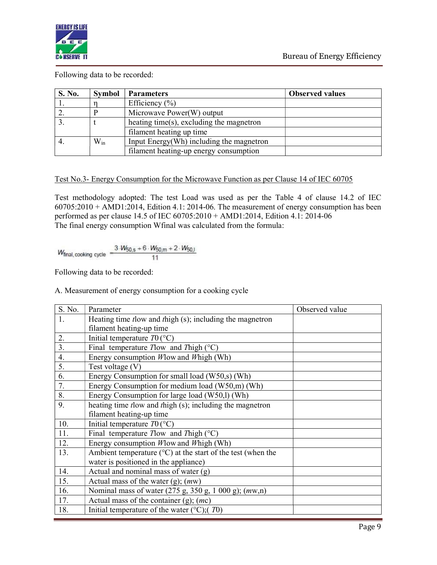

Following data to be recorded:

| S. No. | <b>Symbol</b> | <b>Parameters</b>                        | <b>Observed values</b> |
|--------|---------------|------------------------------------------|------------------------|
|        |               | Efficiency $(\% )$                       |                        |
|        |               | Microwave Power(W) output                |                        |
|        |               | heating time(s), excluding the magnetron |                        |
|        |               | filament heating up time                 |                        |
|        | $W_{in}$      | Input Energy(Wh) including the magnetron |                        |
|        |               | filament heating-up energy consumption   |                        |

# Test No.3- Energy Consumption for the Microwave Function as per Clause 14 of IEC 60705

Test methodology adopted: The test Load was used as per the Table 4 of clause 14.2 of IEC 60705:2010 + AMD1:2014, Edition 4.1: 2014-06. The measurement of energy consumption has been performed as per clause 14.5 of IEC 60705:2010 + AMD1:2014, Edition 4.1: 2014-06 The final energy consumption Wfinal was calculated from the formula:

$$
W_{\text{final, cooking cycle}} = \frac{3. W_{50, s} + 6. W_{50, m} + 2. W_{50, l}}{11}
$$

Following data to be recorded:

A. Measurement of energy consumption for a cooking cycle

| S. No. | Parameter                                                                   | Observed value |
|--------|-----------------------------------------------------------------------------|----------------|
| 1.     | Heating time tlow and thigh (s); including the magnetron                    |                |
|        | filament heating-up time                                                    |                |
| 2.     | Initial temperature $T0$ (°C)                                               |                |
| 3.     | Final temperature Tlow and Thigh $(°C)$                                     |                |
| 4.     | Energy consumption <i>W</i> low and <i>W</i> high (Wh)                      |                |
| 5.     | Test voltage (V)                                                            |                |
| 6.     | Energy Consumption for small load (W50,s) (Wh)                              |                |
| 7.     | Energy Consumption for medium load (W50,m) (Wh)                             |                |
| 8.     | Energy Consumption for large load (W50,l) (Wh)                              |                |
| 9.     | heating time tlow and thigh (s); including the magnetron                    |                |
|        | filament heating-up time                                                    |                |
| 10.    | Initial temperature $T0$ (°C)                                               |                |
| 11.    | Final temperature Tlow and Thigh $(°C)$                                     |                |
| 12.    | Energy consumption <i>W</i> low and <i>W</i> high (Wh)                      |                |
| 13.    | Ambient temperature ( $\rm{^{\circ}C}$ ) at the start of the test (when the |                |
|        | water is positioned in the appliance)                                       |                |
| 14.    | Actual and nominal mass of water $(g)$                                      |                |
| 15.    | Actual mass of the water (g); $(mw)$                                        |                |
| 16.    | Nominal mass of water (275 g, 350 g, 1 000 g); (mw,n)                       |                |
| 17.    | Actual mass of the container $(g)$ ; $(mc)$                                 |                |
| 18.    | Initial temperature of the water ( $\degree$ C);(T0)                        |                |